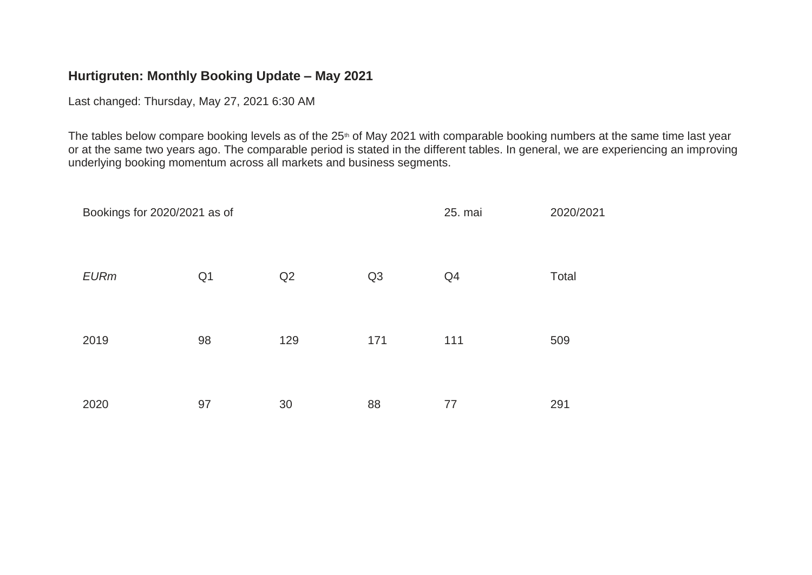## **Hurtigruten: Monthly Booking Update – May 2021**

Last changed: Thursday, May 27, 2021 6:30 AM

The tables below compare booking levels as of the 25<sup>th</sup> of May 2021 with comparable booking numbers at the same time last year or at the same two years ago. The comparable period is stated in the different tables. In general, we are experiencing an improving underlying booking momentum across all markets and business segments.

| Bookings for 2020/2021 as of |                |     |     | 25. mai | 2020/2021 |
|------------------------------|----------------|-----|-----|---------|-----------|
| <b>EURm</b>                  | Q <sub>1</sub> | Q2  | Q3  | Q4      | Total     |
| 2019                         | 98             | 129 | 171 | 111     | 509       |
| 2020                         | 97             | 30  | 88  | 77      | 291       |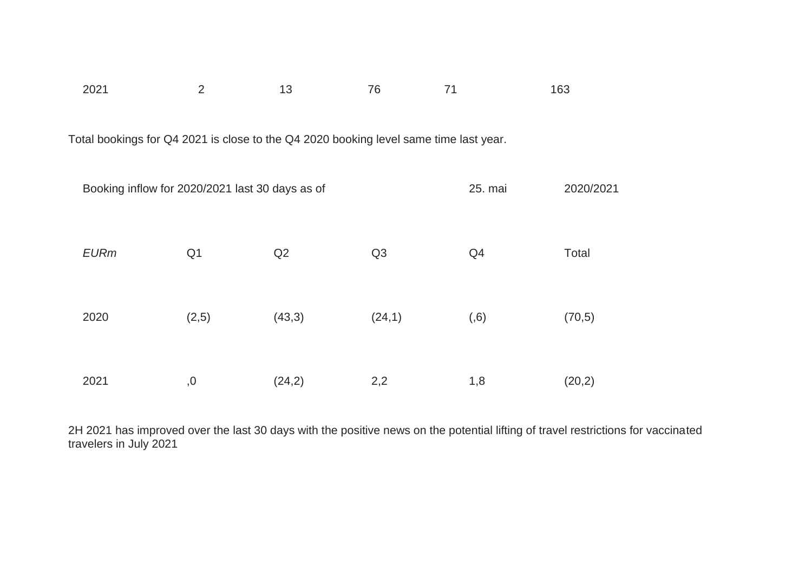| 2021 |  | 76 |                                                                                       | 163 |
|------|--|----|---------------------------------------------------------------------------------------|-----|
|      |  |    |                                                                                       |     |
|      |  |    |                                                                                       |     |
|      |  |    | Total bookings for Q4 2021 is close to the Q4 2020 booking level same time last year. |     |

| Booking inflow for 2020/2021 last 30 days as of |                |        |                | 25. mai | 2020/2021 |
|-------------------------------------------------|----------------|--------|----------------|---------|-----------|
| <b>EURm</b>                                     | Q <sub>1</sub> | Q2     | Q <sub>3</sub> | Q4      | Total     |
| 2020                                            | (2,5)          | (43,3) | (24,1)         | (0,6)   | (70, 5)   |
| 2021                                            | ,0             | (24,2) | 2,2            | 1,8     | (20,2)    |

2H 2021 has improved over the last 30 days with the positive news on the potential lifting of travel restrictions for vaccinated travelers in July 2021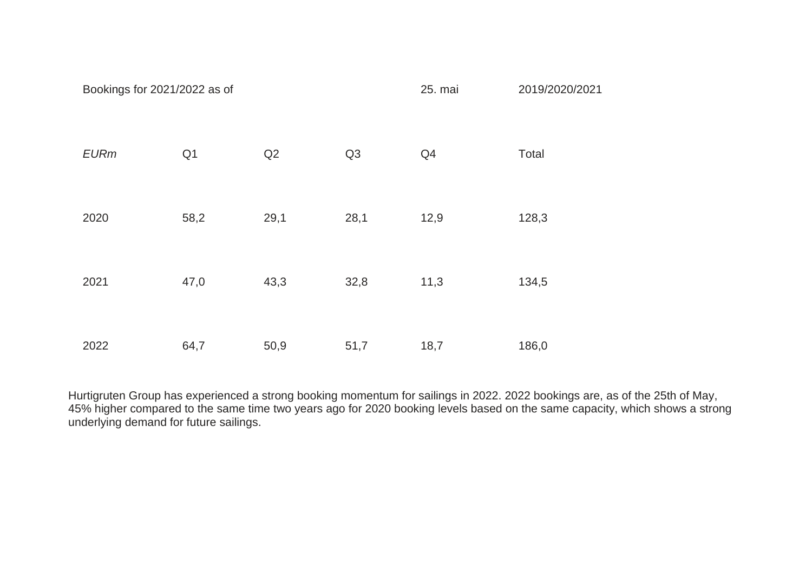| Bookings for 2021/2022 as of |                |      |      | 25. mai | 2019/2020/2021 |
|------------------------------|----------------|------|------|---------|----------------|
| <b>EURm</b>                  | Q <sub>1</sub> | Q2   | Q3   | Q4      | Total          |
| 2020                         | 58,2           | 29,1 | 28,1 | 12,9    | 128,3          |
| 2021                         | 47,0           | 43,3 | 32,8 | 11,3    | 134,5          |
| 2022                         | 64,7           | 50,9 | 51,7 | 18,7    | 186,0          |

Hurtigruten Group has experienced a strong booking momentum for sailings in 2022. 2022 bookings are, as of the 25th of May, 45% higher compared to the same time two years ago for 2020 booking levels based on the same capacity, which shows a strong underlying demand for future sailings.